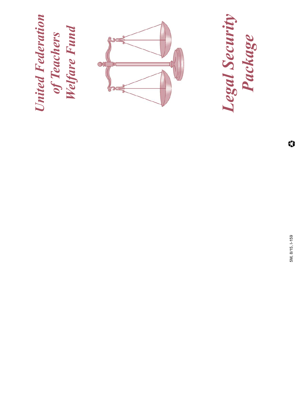**United Federation<br>of Teachers<br>Welfare Fund** *United Federation Welfare Fund of Teachers*



*Legal Security Package*

> 5M, 8/15, I-159 5M, 8/15, I-159

 $\heartsuit$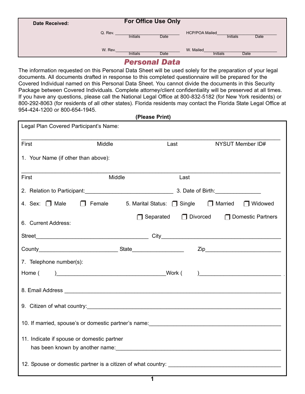| Date Received: | <b>For Office Use Only</b> |                 |      |                                                  |
|----------------|----------------------------|-----------------|------|--------------------------------------------------|
|                | Q. Rev.                    | <b>Initials</b> | Date | <b>HCP/POA Mailed</b><br>Initials<br><b>Date</b> |
|                | W. Rev.                    | <b>Initials</b> | Date | W. Mailed<br>Initials<br>Date                    |

### *Personal Data*

The information requested on this Personal Data Sheet will be used solely for the preparation of your legal documents. All documents drafted in response to this completed questionnaire will be prepared for the Covered Individual named on this Personal Data Sheet. You cannot divide the documents in this Security Package between Covered Individuals. Complete attorney/client confidentiality will be preserved at all times. If you have any questions, please call the National Legal Office at 800-832-5182 (for New York residents) or 800-292-8063 (for residents of all other states). Florida residents may contact the Florida State Legal Office at 954-424-1200 or 800-654-1945.

**(Please Print)**

| Legal Plan Covered Participant's Name:     |               |                                                 |      |  |                                          |
|--------------------------------------------|---------------|-------------------------------------------------|------|--|------------------------------------------|
| First                                      | Middle        |                                                 | Last |  | NYSUT Member ID#                         |
| 1. Your Name (if other than above):        |               |                                                 |      |  |                                          |
| First                                      | Middle        |                                                 | Last |  |                                          |
|                                            |               |                                                 |      |  |                                          |
| 4. Sex: $\Box$ Male                        | $\Box$ Female | 5. Marital Status: $\Box$ Single $\Box$ Married |      |  | □ Widowed                                |
| 6. Current Address:                        |               | $\Box$ Separated                                |      |  | $\Box$ Divorced $\Box$ Domestic Partners |
|                                            |               |                                                 |      |  |                                          |
|                                            |               |                                                 |      |  |                                          |
| 7. Telephone number(s):                    |               |                                                 |      |  |                                          |
|                                            |               |                                                 |      |  |                                          |
|                                            |               |                                                 |      |  |                                          |
|                                            |               |                                                 |      |  |                                          |
|                                            |               |                                                 |      |  |                                          |
| 11. Indicate if spouse or domestic partner |               |                                                 |      |  |                                          |
|                                            |               |                                                 |      |  |                                          |

**1**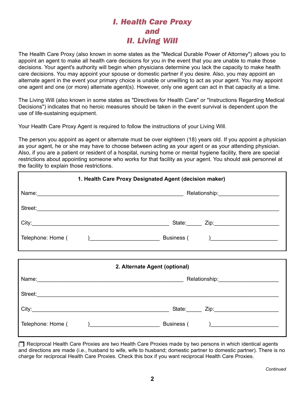## *I. Health Care Proxy and II. Living Will*

The Health Care Proxy (also known in some states as the "Medical Durable Power of Attorney") allows you to appoint an agent to make all health care decisions for you in the event that you are unable to make those decisions. Your agent's authority will begin when physicians determine you lack the capacity to make health care decisions. You may appoint your spouse or domestic partner if you desire. Also, you may appoint an alternate agent in the event your primary choice is unable or unwilling to act as your agent. You may appoint one agent and one (or more) alternate agent(s). However, only one agent can act in that capacity at a time.

The Living Will (also known in some states as "Directives for Health Care" or "Instructions Regarding Medical Decisions") indicates that no heroic measures should be taken in the event survival is dependent upon the use of life-sustaining equipment.

Your Health Care Proxy Agent is required to follow the instructions of your Living Will.

The person you appoint as agent or alternate must be over eighteen (18) years old. If you appoint a physician as your agent, he or she may have to choose between acting as your agent or as your attending physician. Also, if you are a patient or resident of a hospital, nursing home or mental hygiene facility, there are special restrictions about appointing someone who works for that facility as your agent. You should ask personnel at the facility to explain those restrictions.

| 1. Health Care Proxy Designated Agent (decision maker) |                               |  |  |  |
|--------------------------------------------------------|-------------------------------|--|--|--|
|                                                        |                               |  |  |  |
|                                                        |                               |  |  |  |
|                                                        |                               |  |  |  |
|                                                        |                               |  |  |  |
|                                                        |                               |  |  |  |
|                                                        | 2. Alternate Agent (optional) |  |  |  |
|                                                        |                               |  |  |  |
|                                                        |                               |  |  |  |
|                                                        |                               |  |  |  |
|                                                        |                               |  |  |  |

Reciprocal Health Care Proxies are two Health Care Proxies made by two persons in which identical agents and directions are made (i.e., husband to wife, wife to husband; domestic partner to domestic partner). There is no charge for reciprocal Health Care Proxies. Check this box if you want reciprocal Health Care Proxies.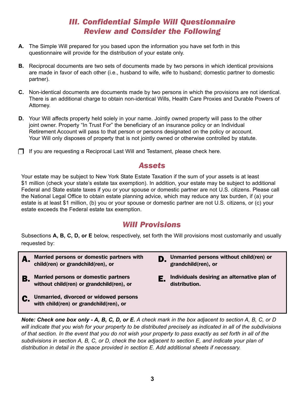## *III. Confidential Simple Will Questionnaire Review and Consider the Following*

- **A.** The Simple Will prepared for you based upon the information you have set forth in this questionnaire will provide for the distribution of your estate only.
- **B.** Reciprocal documents are two sets of documents made by two persons in which identical provisions are made in favor of each other (i.e., husband to wife, wife to husband; domestic partner to domestic partner).
- **C.** Non-identical documents are documents made by two persons in which the provisions are not identical. There is an additional charge to obtain non-identical Wills, Health Care Proxies and Durable Powers of Attorney.
- **D.** Your Will affects property held solely in your name. Jointly owned property will pass to the other joint owner. Property "In Trust For" the beneficiary of an insurance policy or an Individual Retirement Account will pass to that person or persons designated on the policy or account. Your Will only disposes of property that is not jointly owned or otherwise controlled by statute.
- $\Box$  If you are requesting a Reciprocal Last Will and Testament, please check here.

## *Assets*

Your estate may be subject to New York State Estate Taxation if the sum of your assets is at least \$1 million (check your state's estate tax exemption). In addition, your estate may be subject to additional Federal and State estate taxes if you or your spouse or domestic partner are not U.S. citizens. Please call the National Legal Office to obtain estate planning advice, which may reduce any tax burden, if (a) your estate is at least \$1 million, (b) you or your spouse or domestic partner are not U.S. citizens, or (c) your estate exceeds the Federal estate tax exemption.

## *Will Provisions*

Subsections **A, B, C, D, or E** below, respectively, set forth the Will provisions most customarily and usually requested by:

- A. **Married persons or domestic partners with child(ren) or grandchild(ren), or**
- B. **Married persons or domestic partners without child(ren) or grandchild(ren), or**
- C. **Unmarried, divorced or widowed persons with child(ren) or grandchild(ren), or**
- D. **Unmarried persons without child(ren) or grandchild(ren), or**
- E. **Individuals desiring an alternative plan of distribution.**

Note: Check one box only - A, B, C, D, or E. A check mark in the box adjacent to section A, B, C, or D will indicate that you wish for your property to be distributed precisely as indicated in all of the subdivisions of that section. In the event that you do not wish your property to pass exactly as set forth in all of the subdivisions in section A, B, C, or D, check the box adiacent to section E, and indicate your plan of *distribution in detail in the space provided in section E. Add additional sheets if necessary.*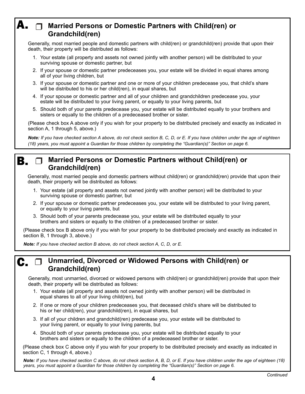## **Married Persons or Domestic Partners with Child(ren) or** A. **Grandchild(ren)**

Generally, most married people and domestic partners with child(ren) or grandchild(ren) provide that upon their death, their property will be distributed as follows:

- 1. Your estate (all property and assets not owned jointly with another person) will be distributed to your surviving spouse or domestic partner, but
- 2. If your spouse or domestic partner predeceases you, your estate will be divided in equal shares among all of your living children, but
- 3. If your spouse or domestic partner and one or more of your children predecease you, that child's share will be distributed to his or her child(ren), in equal shares, but
- 4. If your spouse or domestic partner and all of your children and grandchildren predecease you, your estate will be distributed to your living parent, or equally to your living parents, but
- 5. Should both of your parents predecease you, your estate will be distributed equally to your brothers and sisters or equally to the children of a predeceased brother or sister.

(Please check box A above only if you wish for your property to be distributed precisely and exactly as indicated in section A, 1 through 5, above.)

Note: If you have checked section A above, do not check section B, C, D, or E. If you have children under the age of eighteen (18) years, you must appoint a Guardian for those children by completing the "Guardian(s)" Section on page 6.

### **Married Persons or Domestic Partners without Child(ren) or Grandchild(ren)** B.

Generally, most married people and domestic partners without child(ren) or grandchild(ren) provide that upon their death, their property will be distributed as follows:

- 1. Your estate (all property and assets not owned jointly with another person) will be distributed to your surviving spouse or domestic partner, but
- 2. If your spouse or domestic partner predeceases you, your estate will be distributed to your living parent, or equally to your living parents, but
- 3. Should both of your parents predecease you, your estate will be distributed equally to your brothers and sisters or equally to the children of a predeceased brother or sister.

(Please check box B above only if you wish for your property to be distributed precisely and exactly as indicated in section B, 1 through 3, above.)

*Note: If you have checked section B above, do not check section A, C, D, or E.*

C.

## **Unmarried, Divorced or Widowed Persons with Child(ren) or Grandchild(ren)**

Generally, most unmarried, divorced or widowed persons with child(ren) or grandchild(ren) provide that upon their death, their property will be distributed as follows:

- 1. Your estate (all property and assets not owned jointly with another person) will be distributed in equal shares to all of your living child(ren), but
- 2. If one or more of your children predeceases you, that deceased child's share will be distributed to his or her child(ren), your grandchild(ren), in equal shares, but
- 3. If all of your children and grandchild(ren) predecease you, your estate will be distributed to your living parent, or equally to your living parents, but
- 4. Should both of your parents predecease you, your estate will be distributed equally to your brothers and sisters or equally to the children of a predeceased brother or sister.

(Please check box C above only if you wish for your property to be distributed precisely and exactly as indicated in section C, 1 through 4, above.)

Note: If you have checked section C above, do not check section A, B, D, or E. If you have children under the age of eighteen (18) *years, you must appoint a Guardian for those children by completing the "Guardian(s)" Section on page 6.*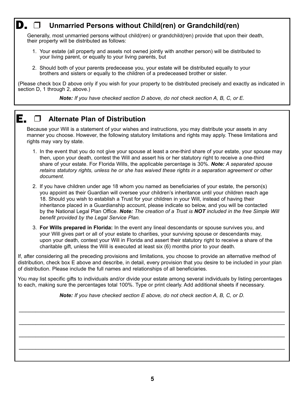### **Unmarried Persons without Child(ren) or Grandchild(ren)** D. 1

Generally, most unmarried persons without child(ren) or grandchild(ren) provide that upon their death, their property will be distributed as follows:

- 1. Your estate (all property and assets not owned jointly with another person) will be distributed to your living parent, or equally to your living parents, but
- 2. Should both of your parents predecease you, your estate will be distributed equally to your brothers and sisters or equally to the children of a predeceased brother or sister.

(Please check box D above only if you wish for your property to be distributed precisely and exactly as indicated in section D, 1 through 2, above.)

*Note: If you have checked section D above, do not check section A, B, C, or E.*

#### **Alternate Plan of Distribution** E.

Because your Will is a statement of your wishes and instructions, you may distribute your assets in any manner you choose. However, the following statutory limitations and rights may apply. These limitations and rights may vary by state.

- 1. In the event that you do not give your spouse at least a one-third share of your estate, your spouse may then, upon your death, contest the Will and assert his or her statutory right to receive a one-third share of your estate. For Florida Wills, the applicable percentage is 30%. *Note: A separated spouse retains statutory rights, unless he or she has waived these rights in a separation agreement or other document.*
- 2. If you have children under age 18 whom you named as beneficiaries of your estate, the person(s) you appoint as their Guardian will oversee your children's inheritance until your children reach age 18. Should you wish to establish a Trust for your children in your Will, instead of having their inheritance placed in a Guardianship account, please indicate so below, and you will be contacted by the National Legal Plan Office. *Note: The creation of a Trust is Not included in the free Simple Will benefit provided by the Legal Service Plan.*
- 3. **For Wills prepared in Florida:** In the event any lineal descendants or spouse survives you, and your Will gives part or all of your estate to charities, your surviving spouse or descendants may, upon your death, contest your Will in Florida and assert their statutory right to receive a share of the charitable gift, unless the Will is executed at least six (6) months prior to your death.

If, after considering all the preceding provisions and limitations, you choose to provide an alternative method of distribution, check box E above and describe, in detail, every provision that you desire to be included in your plan of distribution. Please include the full names and relationships of all beneficiaries.

You may list specific gifts to individuals and/or divide your estate among several individuals by listing percentages to each, making sure the percentages total 100%. Type or print clearly. Add additional sheets if necessary.

*Note: If you have checked section E above, do not check section A, B, C, or D.*

\_\_\_\_\_\_\_\_\_\_\_\_\_\_\_\_\_\_\_\_\_\_\_\_\_\_\_\_\_\_\_\_\_\_\_\_\_\_\_\_\_\_\_\_\_\_\_\_\_\_\_\_\_\_\_\_\_\_\_\_\_\_\_\_\_\_\_\_\_\_\_\_\_\_\_\_\_\_\_\_

 $\_$ 

\_\_\_\_\_\_\_\_\_\_\_\_\_\_\_\_\_\_\_\_\_\_\_\_\_\_\_\_\_\_\_\_\_\_\_\_\_\_\_\_\_\_\_\_\_\_\_\_\_\_\_\_\_\_\_\_\_\_\_\_\_\_\_\_\_\_\_\_\_\_\_\_\_\_\_\_\_\_\_\_

\_\_\_\_\_\_\_\_\_\_\_\_\_\_\_\_\_\_\_\_\_\_\_\_\_\_\_\_\_\_\_\_\_\_\_\_\_\_\_\_\_\_\_\_\_\_\_\_\_\_\_\_\_\_\_\_\_\_\_\_\_\_\_\_\_\_\_\_\_\_\_\_\_\_\_\_\_\_\_\_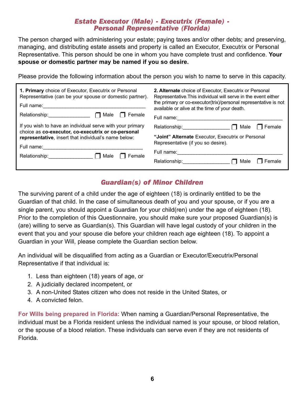# *Estate Executor (Male) - Executrix (Female) - Personal Representative (Florida)*

The person charged with administering your estate; paying taxes and/or other debts; and preserving, managing, and distributing estate assets and property is called an Executor, Executrix or Personal Representative. This person should be one in whom you have complete trust and confidence. **Your spouse or domestic partner may be named if you so desire.**

Please provide the following information about the person you wish to name to serve in this capacity.

| 1. Primary choice of Executor, Executrix or Personal<br>Representative (can be your spouse or domestic partner).<br>Full name:<br>Female<br>Male<br>Relationship: Note that                                                     | 2. Alternate choice of Executor, Executrix or Personal<br>Representative. This individual will serve in the event either<br>the primary or co-executor(trix)/personal representative is not<br>available or alive at the time of your death. |  |  |
|---------------------------------------------------------------------------------------------------------------------------------------------------------------------------------------------------------------------------------|----------------------------------------------------------------------------------------------------------------------------------------------------------------------------------------------------------------------------------------------|--|--|
| If you wish to have an individual serve with your primary<br>choice as co-executor, co-executrix or co-personal<br>representative, insert that individual's name below:<br>Full name:<br>$\Box$ Male<br>Female<br>Relationship: | Full name:<br>Relationship: Note that<br>Female<br>Male<br>"Joint" Alternate Executor, Executrix or Personal<br>Representative (if you so desire).<br>Full name:<br>Relationship:<br>Female<br>Male                                          |  |  |

## *Guardian(s) of Minor Children*

The surviving parent of a child under the age of eighteen (18) is ordinarily entitled to be the Guardian of that child. In the case of simultaneous death of you and your spouse, or if you are a single parent, you should appoint a Guardian for your child(ren) under the age of eighteen (18). Prior to the completion of this Questionnaire, you should make sure your proposed Guardian(s) is (are) willing to serve as Guardian(s). This Guardian will have legal custody of your children in the event that you and your spouse die before your children reach age eighteen (18). To appoint a Guardian in your Will, please complete the Guardian section below.

An individual will be disqualified from acting as a Guardian or Executor/Executrix/Personal Representative if that individual is:

- 1. Less than eighteen (18) years of age, or
- 2. A judicially declared incompetent, or
- 3. A non-United States citizen who does not reside in the United States, or
- 4. A convicted felon.

**For Wills being prepared in Florida:** When naming a Guardian/Personal Representative, the individual must be a Florida resident unless the individual named is your spouse, or blood relation, or the spouse of a blood relation. These individuals can serve even if they are not residents of Florida.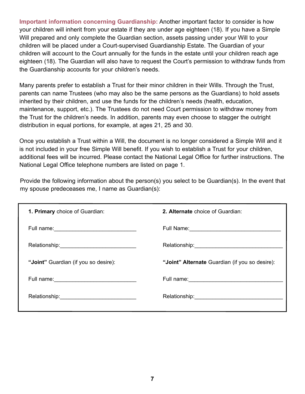**Important information concerning Guardianship:** Another important factor to consider is how your children will inherit from your estate if they are under age eighteen (18). If you have a Simple Will prepared and only complete the Guardian section, assets passing under your Will to your children will be placed under a Court-supervised Guardianship Estate. The Guardian of your children will account to the Court annually for the funds in the estate until your children reach age eighteen (18). The Guardian will also have to request the Court's permission to withdraw funds from the Guardianship accounts for your children's needs.

Many parents prefer to establish a Trust for their minor children in their Wills. Through the Trust, parents can name Trustees (who may also be the same persons as the Guardians) to hold assets inherited by their children, and use the funds for the children's needs (health, education, maintenance, support, etc.). The Trustees do not need Court permission to withdraw money from the Trust for the children's needs. In addition, parents may even choose to stagger the outright distribution in equal portions, for example, at ages 21, 25 and 30.

Once you establish a Trust within a Will, the document is no longer considered a Simple Will and it is not included in your free Simple Will benefit. If you wish to establish a Trust for your children, additional fees will be incurred. Please contact the National Legal Office for further instructions. The National Legal Office telephone numbers are listed on page 1.

Provide the following information about the person(s) you select to be Guardian(s). In the event that my spouse predeceases me, I name as Guardian(s):

| 1. Primary choice of Guardian:                    | 2. Alternate choice of Guardian:               |
|---------------------------------------------------|------------------------------------------------|
|                                                   |                                                |
|                                                   |                                                |
| "Joint" Guardian (if you so desire):              | "Joint" Alternate Guardian (if you so desire): |
| Full name: <u>_______________________________</u> |                                                |
|                                                   |                                                |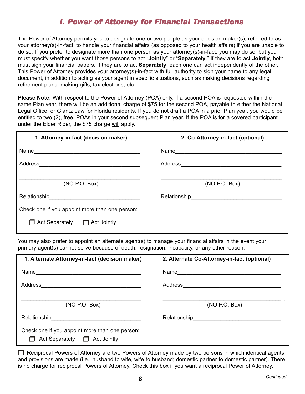## *I. Power of Attorney for Financial Transactions*

The Power of Attorney permits you to designate one or two people as your decision maker(s), referred to as your attorney(s)-in-fact, to handle your financial affairs (as opposed to your health affairs) if you are unable to do so. If you prefer to designate more than one person as your attorney(s)-in-fact, you may do so, but you must specify whether you want those persons to act "**Jointly**" or "**Separately**." If they are to act **Jointly**, both must sign your financial papers. If they are to act **Separately**, each one can act independently of the other. This Power of Attorney provides your attorney(s)-in-fact with full authority to sign your name to any legal document, in addition to acting as your agent in specific situations, such as making decisions regarding retirement plans, making gifts, tax elections, etc.

**Please Note:** With respect to the Power of Attorney (POA) only, if a second POA is requested within the same Plan year, there will be an additional charge of \$75 for the second POA, payable to either the National Legal Office, or Glantz Law for Florida residents. If you do not draft a POA in a prior Plan year, you would be entitled to two (2), free, POAs in your second subsequent Plan year. If the POA is for a covered participant under the Elder Rider, the \$75 charge will apply.

| 1. Attorney-in-fact (decision maker)                                                                                             | 2. Co-Attorney-in-fact (optional)                                                                                                                                                                                                |  |  |
|----------------------------------------------------------------------------------------------------------------------------------|----------------------------------------------------------------------------------------------------------------------------------------------------------------------------------------------------------------------------------|--|--|
| Name                                                                                                                             |                                                                                                                                                                                                                                  |  |  |
| Address<br><u> 1980 - Johann Johann Stoff, deutscher Stoff, der Stoff, der Stoff, der Stoff, der Stoff, der Stoff, der Stoff</u> |                                                                                                                                                                                                                                  |  |  |
| (NO P.O. Box)                                                                                                                    | (NO P.O. Box)                                                                                                                                                                                                                    |  |  |
|                                                                                                                                  | Relationship<br>expression and the contract of the contract of the contract of the contract of the contract of the contract of the contract of the contract of the contract of the contract of the contract of the contract of t |  |  |
| Check one if you appoint more than one person:                                                                                   |                                                                                                                                                                                                                                  |  |  |
| Act Separately $\Box$ Act Jointly                                                                                                |                                                                                                                                                                                                                                  |  |  |

You may also prefer to appoint an alternate agent(s) to manage your financial affairs in the event your primary agent(s) cannot serve because of death, resignation, incapacity, or any other reason.

| 1. Alternate Attorney-in-fact (decision maker)                                                                                 | 2. Alternate Co-Attorney-in-fact (optional)                  |
|--------------------------------------------------------------------------------------------------------------------------------|--------------------------------------------------------------|
| Name<br><u> 1980 - Jan Stein Harry Harry Harry Harry Harry Harry Harry Harry Harry Harry Harry Harry Harry Harry Harry Har</u> | Name                                                         |
| Address<br><u> 1980 - Johann Stone, martin eta politikar</u>                                                                   | Address<br><u> 1980 - Jan Alexandri, manazarta bashkar (</u> |
| (NO P.O. Box)                                                                                                                  | (NO P.O. Box)                                                |
|                                                                                                                                | Relationship Relationship                                    |
| Check one if you appoint more than one person:<br>Act Separately $\Box$ Act Jointly                                            |                                                              |

 $\Box$  Reciprocal Powers of Attorney are two Powers of Attorney made by two persons in which identical agents and provisions are made (i.e., husband to wife, wife to husband; domestic partner to domestic partner). There is no charge for reciprocal Powers of Attorney. Check this box if you want a reciprocal Power of Attorney.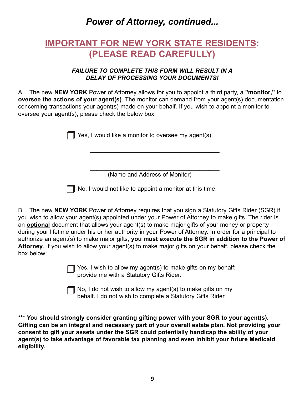# *Power of Attorney, continued...*

# **IMPORTANT FOR NEW YORK STATE RESIDENTS: (PLEASE READ CAREFULLY)**

### *FAILURE to CoMPLEtE tHIS FoRM WILL RESULt IN A DELAY oF PRoCESSING YoUR DoCUMENtS!*

A. The new **NEW YORK** Power of Attorney allows for you to appoint a third party, a **"monitor,"** to **oversee the actions of your agent(s)**. The monitor can demand from your agent(s) documentation concerning transactions your agent(s) made on your behalf. If you wish to appoint a monitor to oversee your agent(s), please check the below box:

**T** Yes, I would like a monitor to oversee my agent(s).

\_\_\_\_\_\_\_\_\_\_\_\_\_\_\_\_\_\_\_\_\_\_\_\_\_\_\_\_\_\_\_\_\_\_\_\_\_\_\_ (Name and Address of Monitor)

\_\_\_\_\_\_\_\_\_\_\_\_\_\_\_\_\_\_\_\_\_\_\_\_\_\_\_\_\_\_\_\_\_\_\_\_\_\_\_

No, I would not like to appoint a monitor at this time.

B. The new **NEW YORK** Power of Attorney requires that you sign a Statutory Gifts Rider (SGR) if you wish to allow your agent(s) appointed under your Power of Attorney to make gifts. The rider is an **optional** document that allows your agent(s) to make major gifts of your money or property during your lifetime under his or her authority in your Power of Attorney. In order for a principal to authorize an agent(s) to make major gifts, **you must execute the SGR in addition to the Power of Attorney**. If you wish to allow your agent(s) to make major gifts on your behalf, please check the box below:

> Yes, I wish to allow my agent(s) to make gifts on my behalf; provide me with a Statutory Gifts Rider.

No, I do not wish to allow my agent(s) to make gifts on my behalf. I do not wish to complete a Statutory Gifts Rider.

**\*\*\* You should strongly consider granting gifting power with your SGR to your agent(s). Gifting can be an integral and necessary part of your overall estate plan. Not providing your consent to gift your assets under the SGR could potentially handicap the ability of your agent(s) to take advantage of favorable tax planning and even inhibit your future Medicaid eligibility.**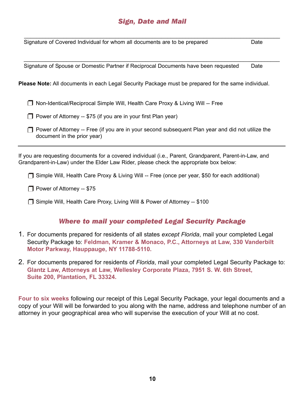## *Sign, Date and Mail*

\_\_\_\_\_\_\_\_\_\_\_\_\_\_\_\_\_\_\_\_\_\_\_\_\_\_\_\_\_\_\_\_\_\_\_\_\_\_\_\_\_\_\_\_\_\_\_\_\_\_\_\_\_\_\_\_\_\_\_\_\_\_\_\_\_\_\_\_\_\_\_\_\_\_\_\_\_\_\_\_\_\_\_\_

\_\_\_\_\_\_\_\_\_\_\_\_\_\_\_\_\_\_\_\_\_\_\_\_\_\_\_\_\_\_\_\_\_\_\_\_\_\_\_\_\_\_\_\_\_\_\_\_\_\_\_\_\_\_\_\_\_\_\_\_\_\_\_\_\_\_\_\_\_\_\_\_\_\_\_\_\_\_\_\_\_\_\_\_ Signature of Covered Individual for whom all documents are to be prepared Date

Signature of Spouse or Domestic Partner if Reciprocal Documents have been requested Date

**Please Note:** All documents in each Legal Security Package must be prepared for the same individual.

□ Non-Identical/Reciprocal Simple Will, Health Care Proxy & Living Will -- Free

 $\Box$  Power of Attorney -- \$75 (if you are in your first Plan year)

 $\Box$  Power of Attorney -- Free (if you are in your second subsequent Plan year and did not utilize the document in the prior year)

If you are requesting documents for a covered individual (i.e., Parent, Grandparent, Parent-in-Law, and Grandparent-in-Law) under the Elder Law Rider, please check the appropriate box below:

Simple Will, Health Care Proxy & Living Will -- Free (once per year, \$50 for each additional)

Power of Attorney -- \$75

□ Simple Will, Health Care Proxy, Living Will & Power of Attorney -- \$100

### *Where to mail your completed Legal Security Package*

- 1. For documents prepared for residents of all states *except Florida*, mail your completed Legal Security Package to: **Feldman, Kramer & Monaco, P.C., Attorneys at Law, 330 Vanderbilt Motor Parkway, Hauppauge, NY 11788-5110.**
- 2. For documents prepared for residents of *Florida*, mail your completed Legal Security Package to: **Glantz Law, Attorneys at Law, Wellesley Corporate Plaza, 7951 S. W. 6th Street, Suite 200, Plantation, FL 33324.**

**Four to six weeks** following our receipt of this Legal Security Package, your legal documents and a copy of your Will will be forwarded to you along with the name, address and telephone number of an attorney in your geographical area who will supervise the execution of your Will at no cost.